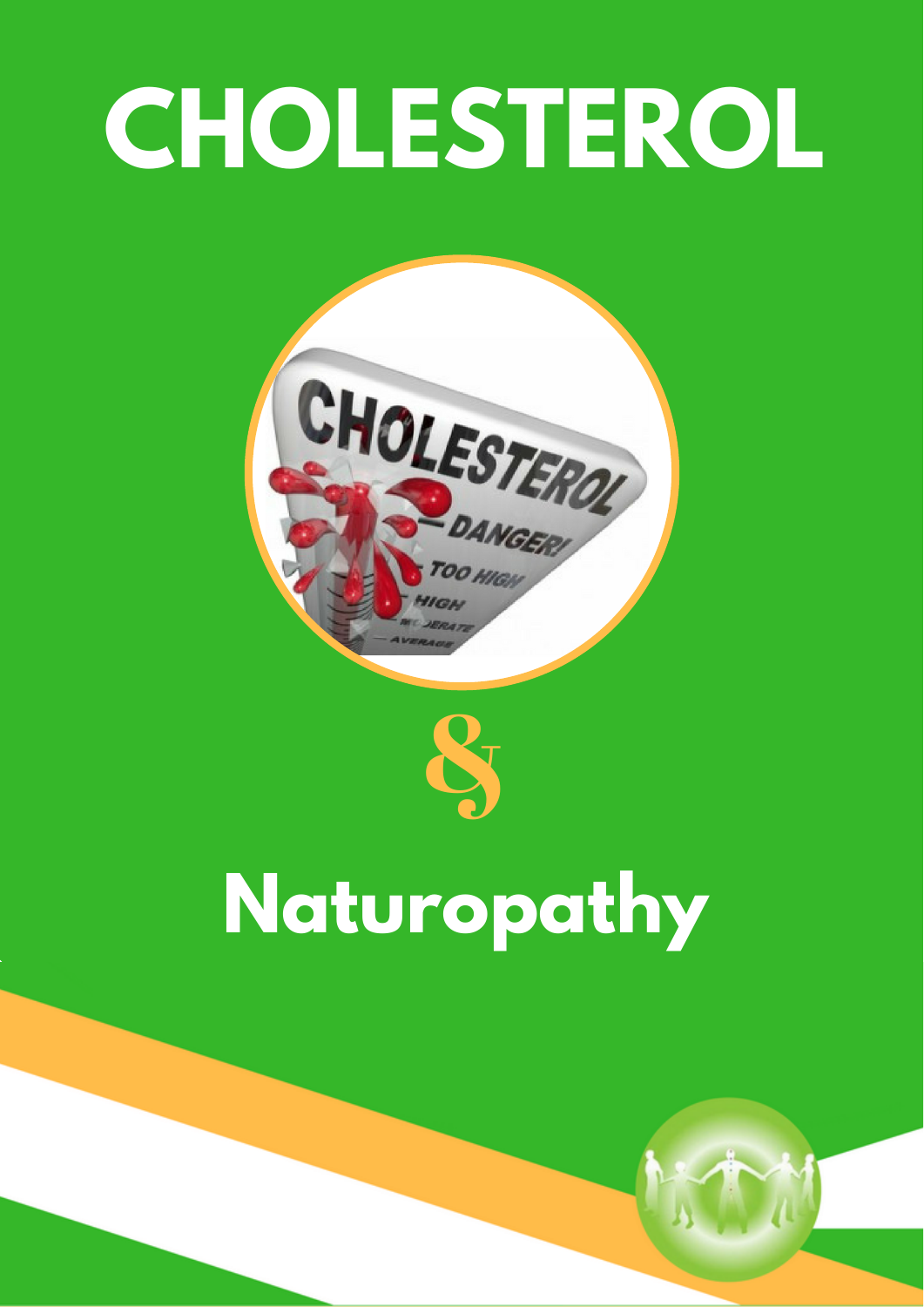# **CHOLESTEROL**





## **Naturopathy**

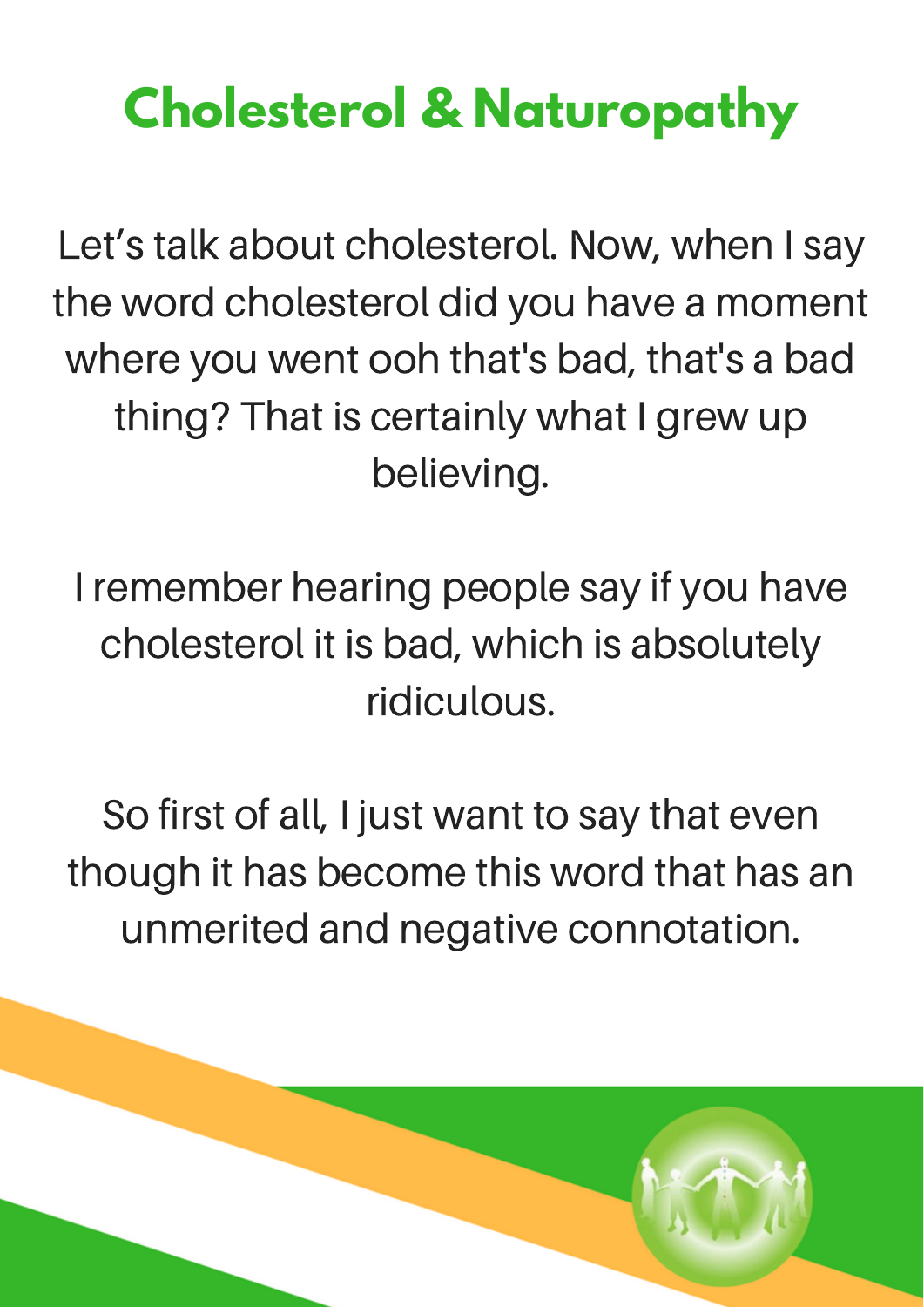### **Cholesterol & Naturopathy**

Let's talk about cholesterol. Now, when I say the word cholesterol did you have a moment where you went ooh that's bad, that's a bad thing? That is certainly what I grew up believing.

I remember hearing people say if you have cholesterol it is bad, which is absolutely ridiculous.

So first of all, I just want to say that even though it has become this word that has an unmerited and negative connotation.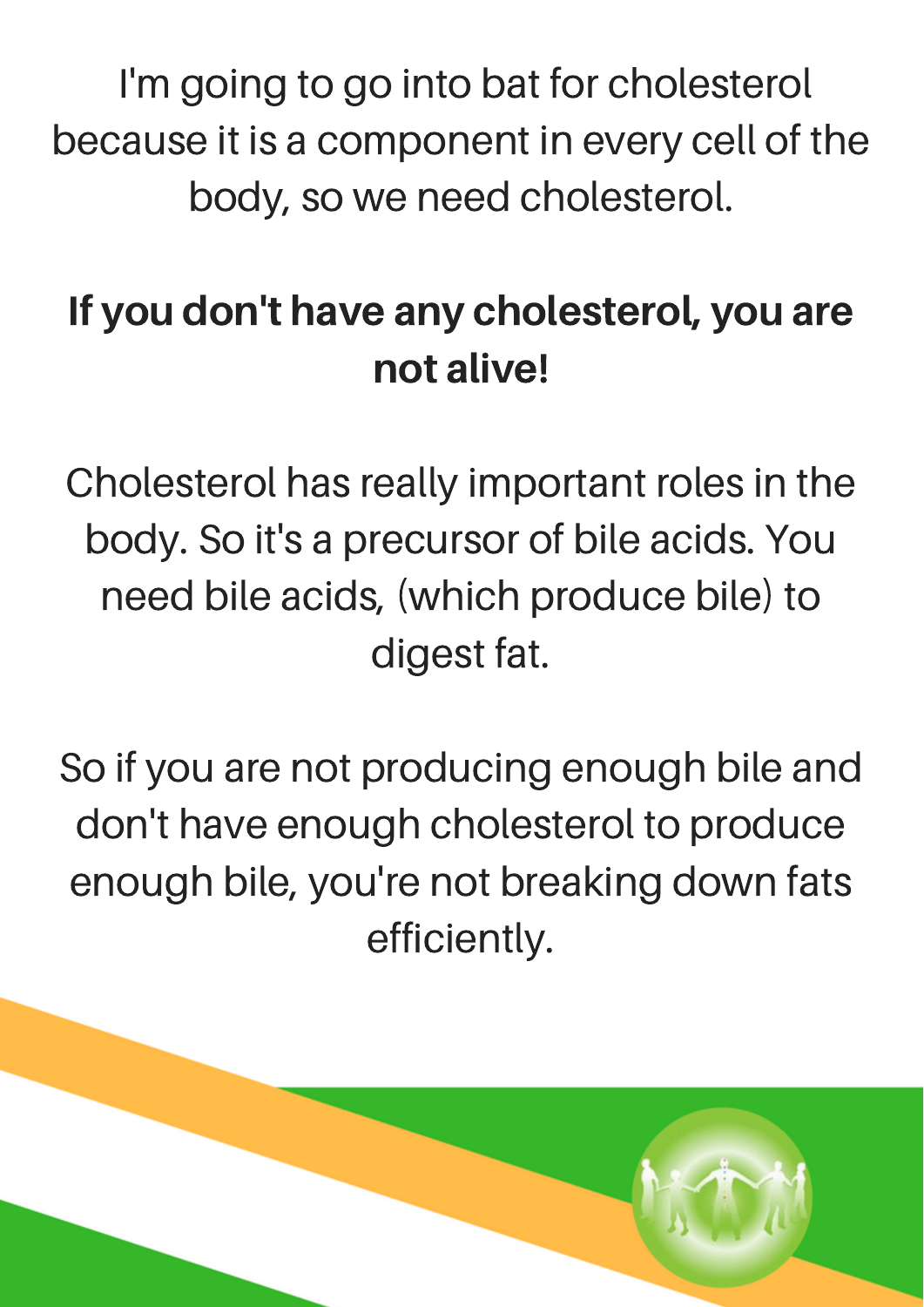I'm going to go into bat for cholesterol because it is a component in every cell of the body, so we need cholesterol.

#### If you don't have any cholesterol, you are not alive!

Cholesterol has really important roles in the body. So it's a precursor of bile acids. You need bile acids, (which produce bile) to digest fat.

So if you are not producing enough bile and don't have enough cholesterol to produce enough bile, you're not breaking down fats efficiently.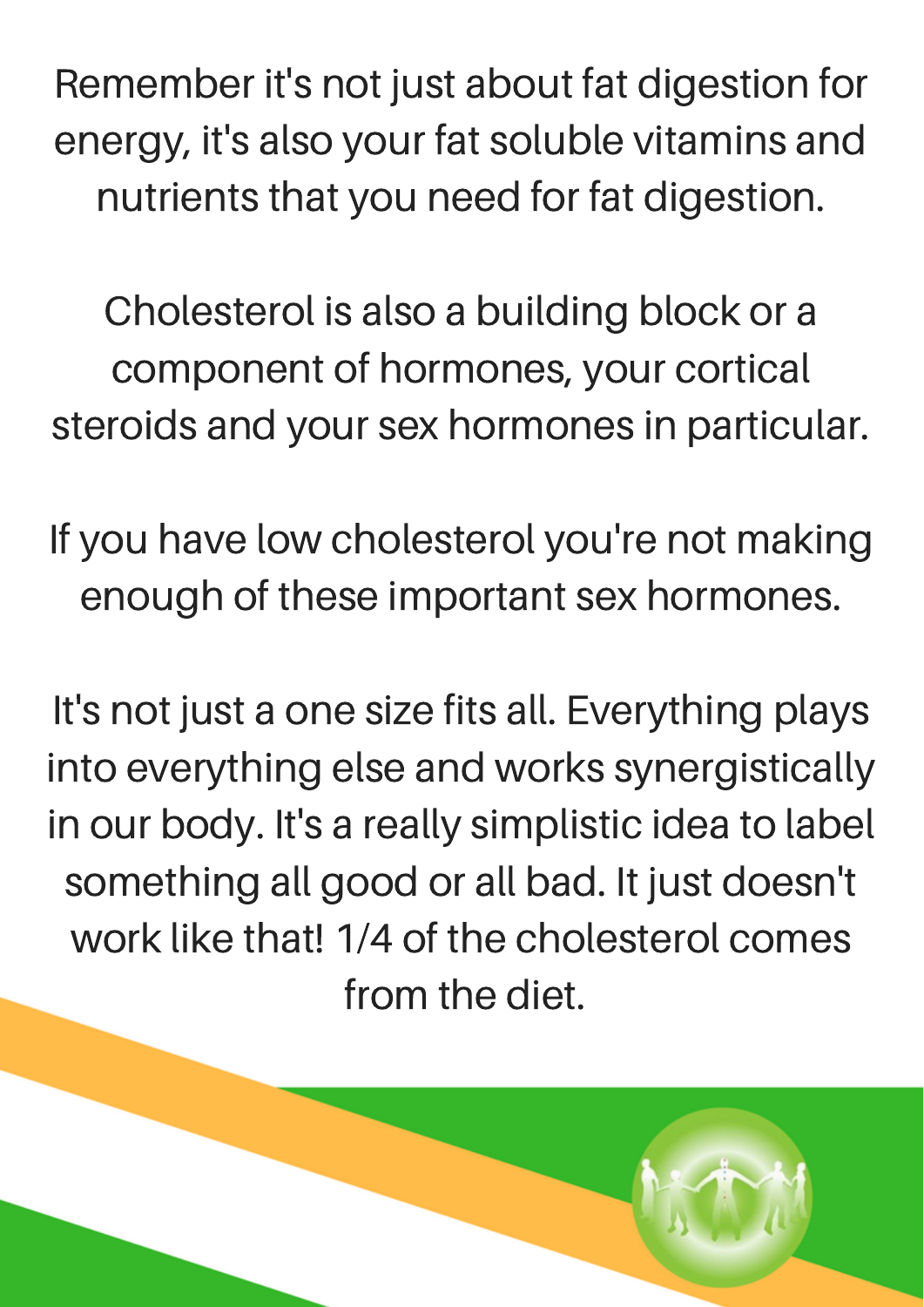Remember it's not just about fat digestion for energy, it's also your fat soluble vitamins and nutrients that you need for fat digestion.

Cholesterol is also a building block or a component of hormones, your cortical steroids and your sex hormones in particular.

If you have low cholesterol you're not making enough of these important sex hormones.

It's not just a one size fits all. Everything plays into everything else and works synergistically in our body. It's a really simplistic idea to label something all good or all bad. It just doesn't work like that! 1/4 of the cholesterol comes from the diet.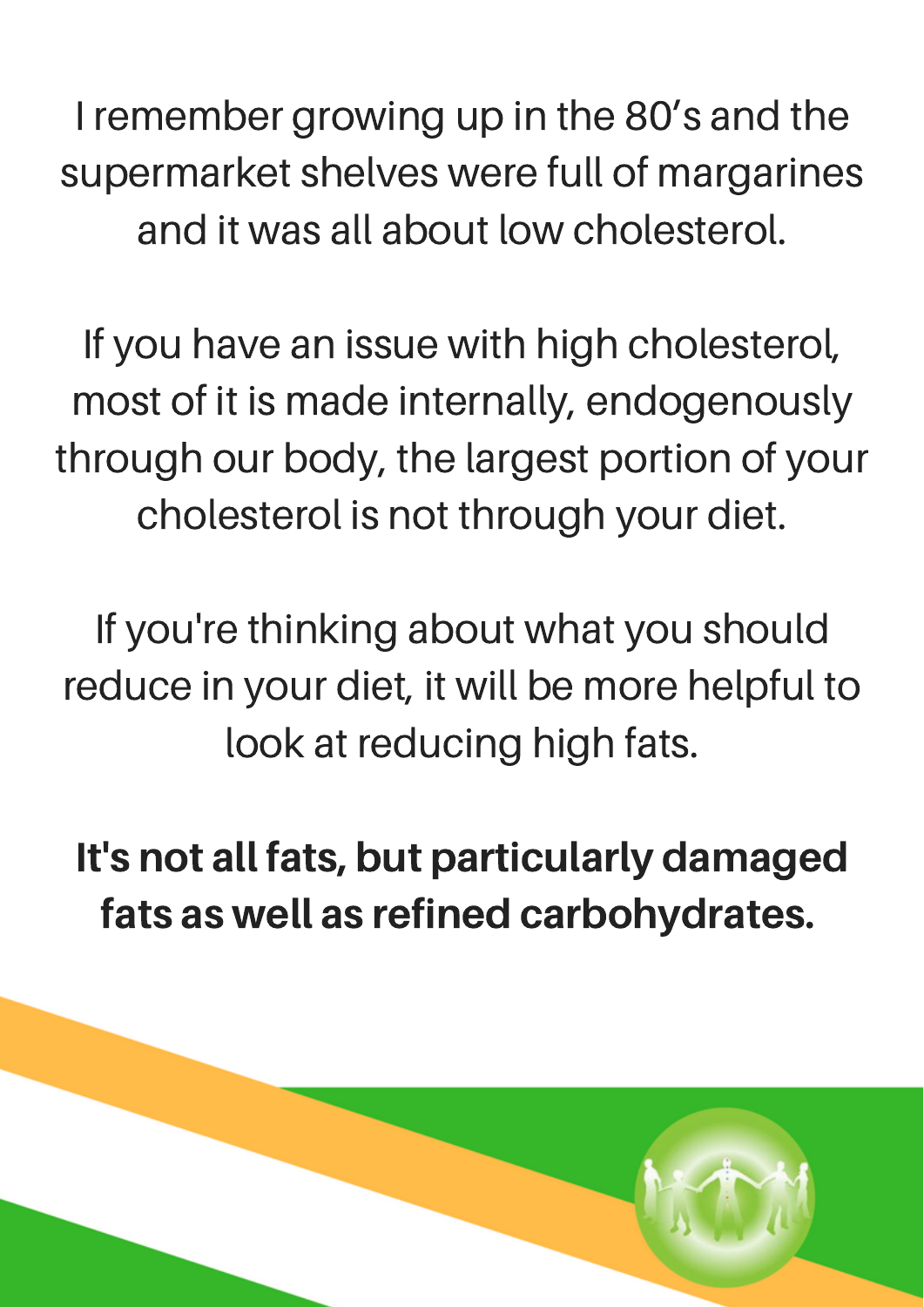I remember growing up in the 80's and the supermarket shelves were full of margarines and it was all about low cholesterol.

If you have an issue with high cholesterol, most of it is made internally, endogenously through our body, the largest portion of your cholesterol is not through your diet.

If you're thinking about what you should reduce in your diet, it will be more helpful to look at reducing high fats.

It's not all fats, but particularly damaged fats as well as refined carbohydrates.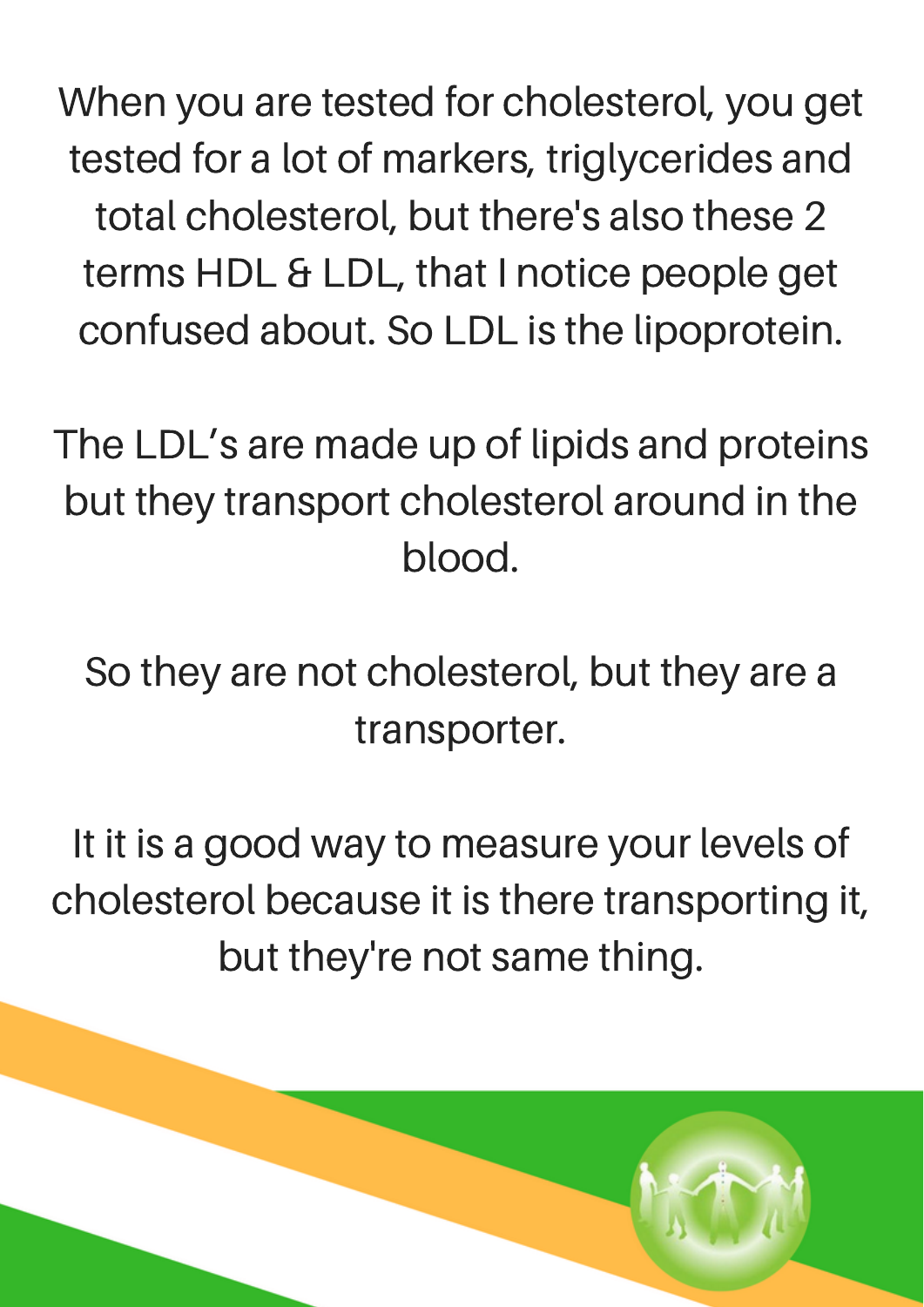When you are tested for cholesterol, you get tested for a lot of markers, triglycerides and total cholesterol, but there's also these 2 terms HDL & LDL, that I notice people get confused about. So LDL is the lipoprotein.

The LDL's are made up of lipids and proteins but they transport cholesterol around in the blood.

So they are not cholesterol, but they are a transporter.

It it is a good way to measure your levels of cholesterol because it is there transporting it, but they're not same thing.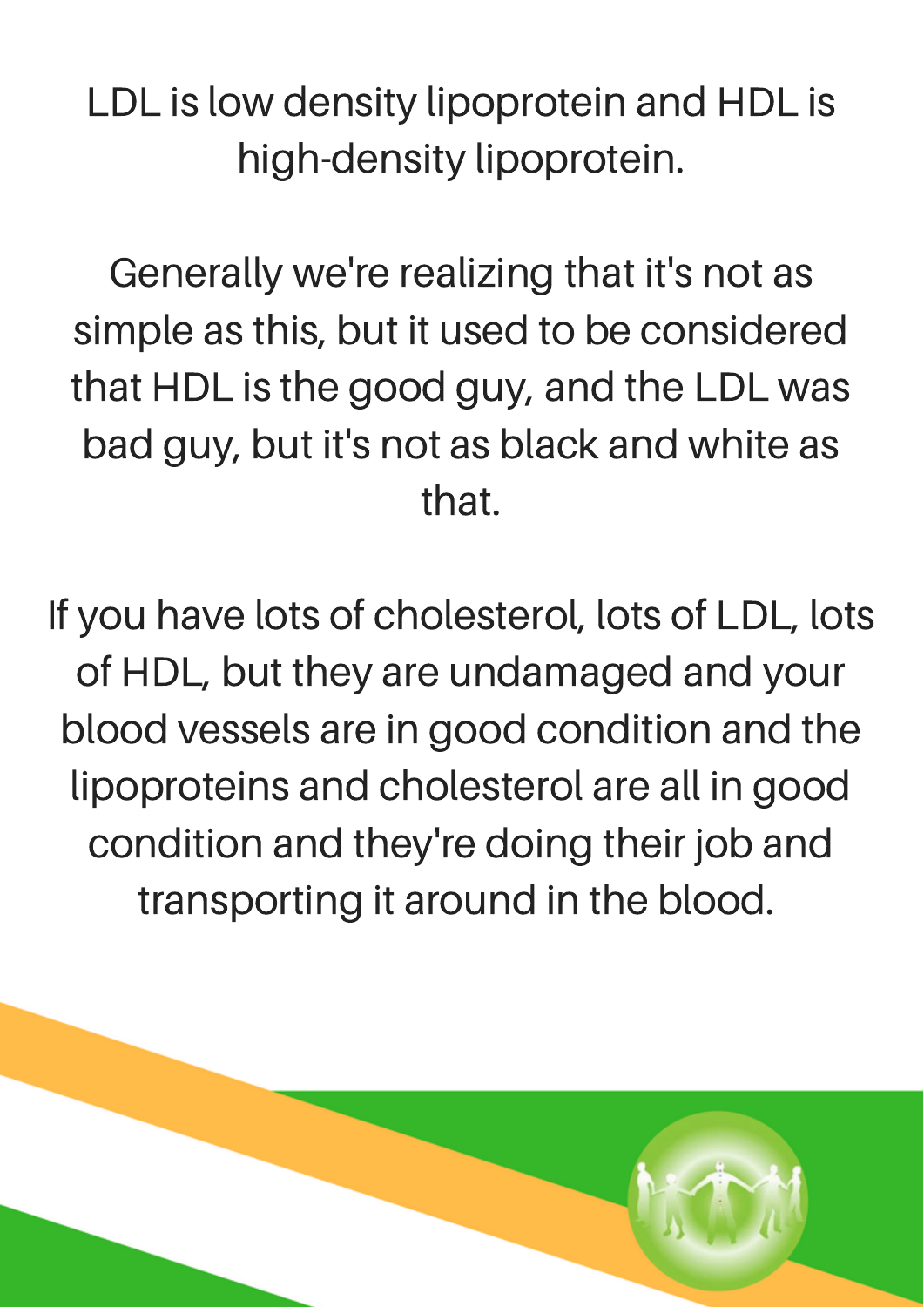LDL is low density lipoprotein and HDL is high-density lipoprotein.

Generally we're realizing that it's not as simple as this, but it used to be considered that HDL is the good guy, and the LDL was bad guy, but it's not as black and white as that.

If you have lots of cholesterol, lots of LDL, lots of HDL, but they are undamaged and your blood vessels are in good condition and the lipoproteins and cholesterol are all in good condition and they're doing their job and transporting it around in the blood.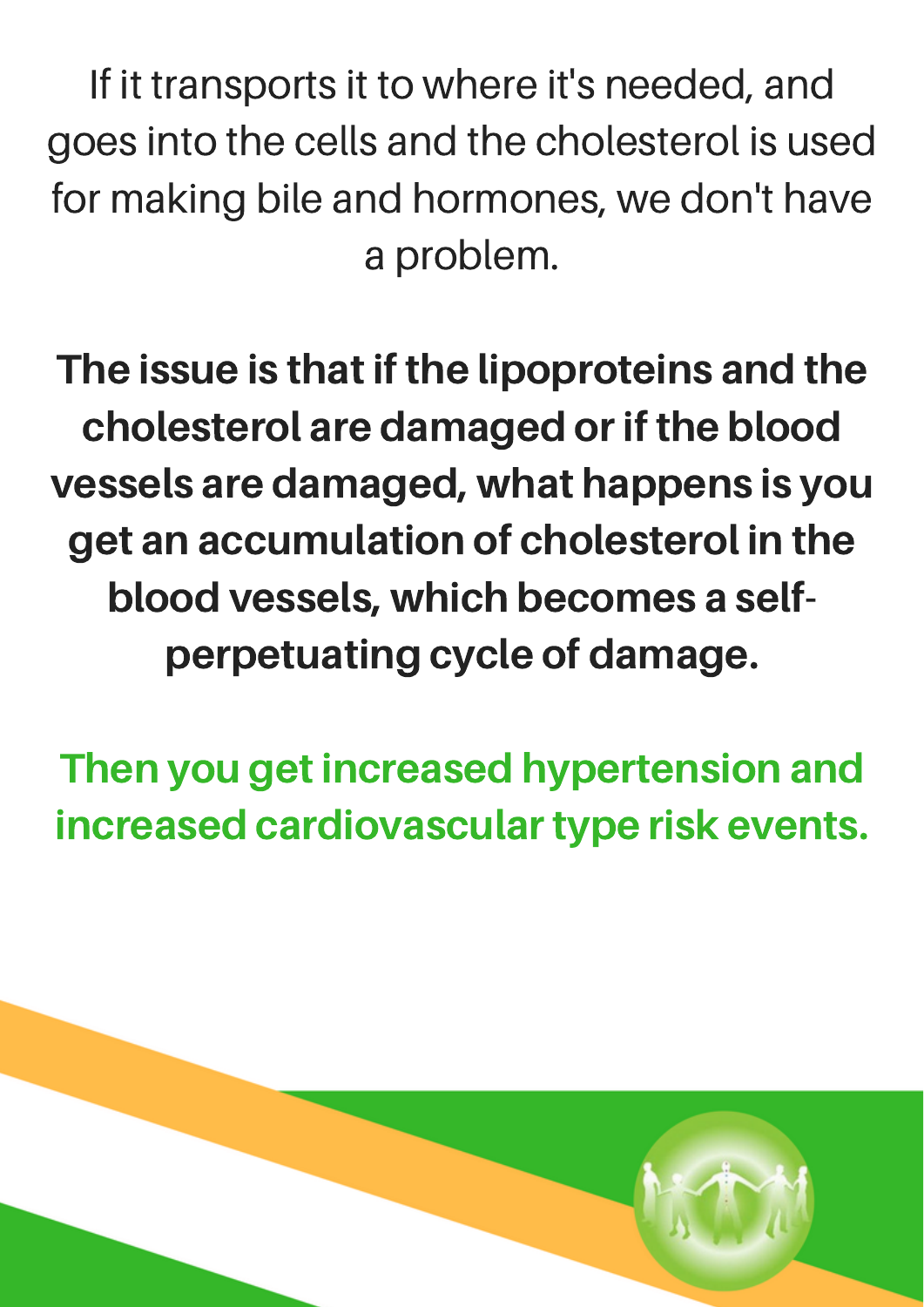If it transports it to where it's needed, and goes into the cells and the cholesterol is used for making bile and hormones, we don't have a problem.

The issue is that if the lipoproteins and the cholesterol are damaged or if the blood vessels are damaged, what happens is you get an accumulation of cholesterol in the blood vessels, which becomes a selfperpetuating cycle of damage.

Then you get increased hypertension and increased cardiovascular type risk events.

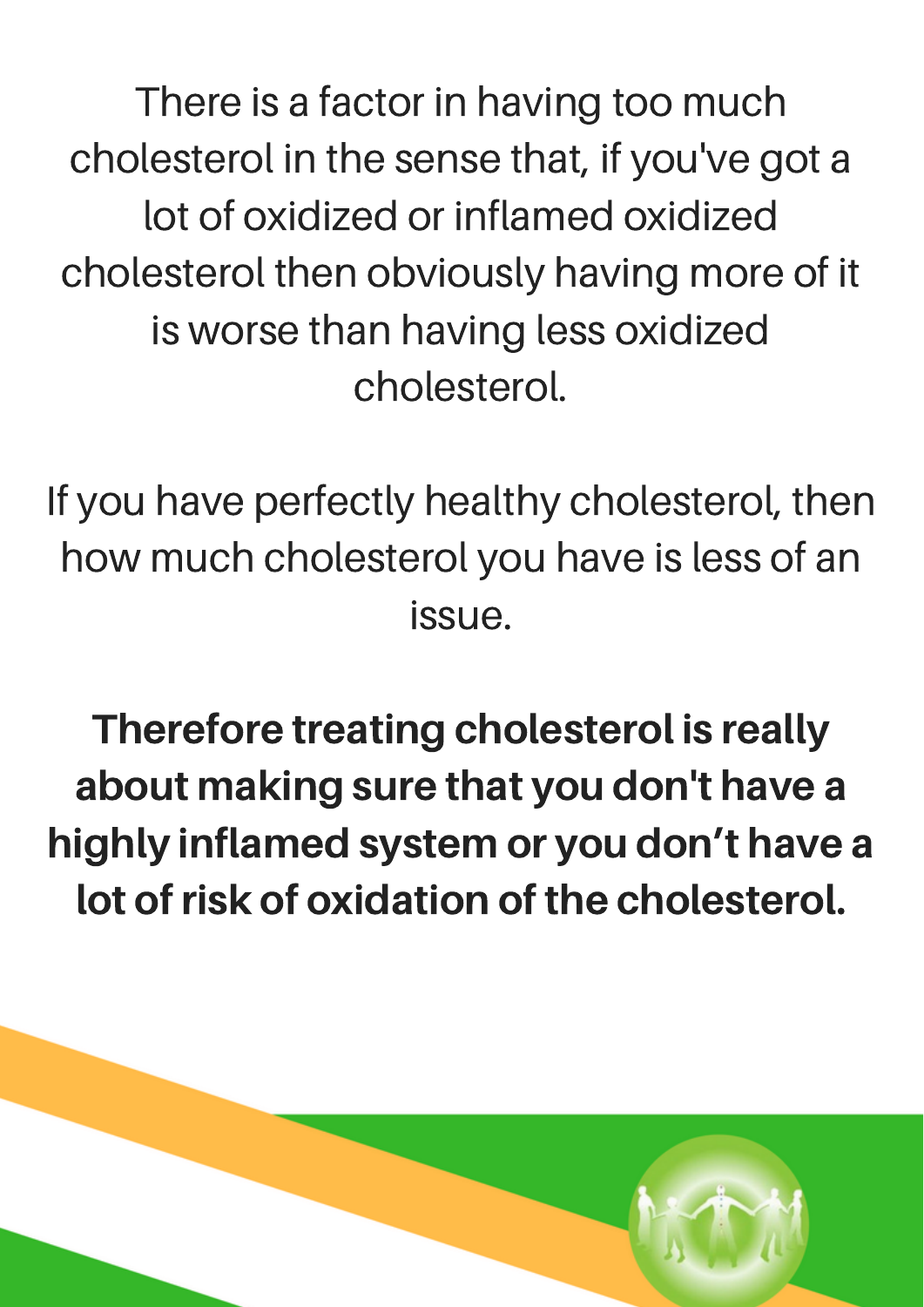There is a factor in having too much cholesterol in the sense that, if you've got a lot of oxidized or inflamed oxidized cholesterol then obviously having more of it is worse than having less oxidized cholesterol.

If you have perfectly healthy cholesterol, then how much cholesterol you have is less of an issue.

Therefore treating cholesterol is really about making sure that you don't have a highly inflamed system or you don't have a lot of risk of oxidation of the cholesterol.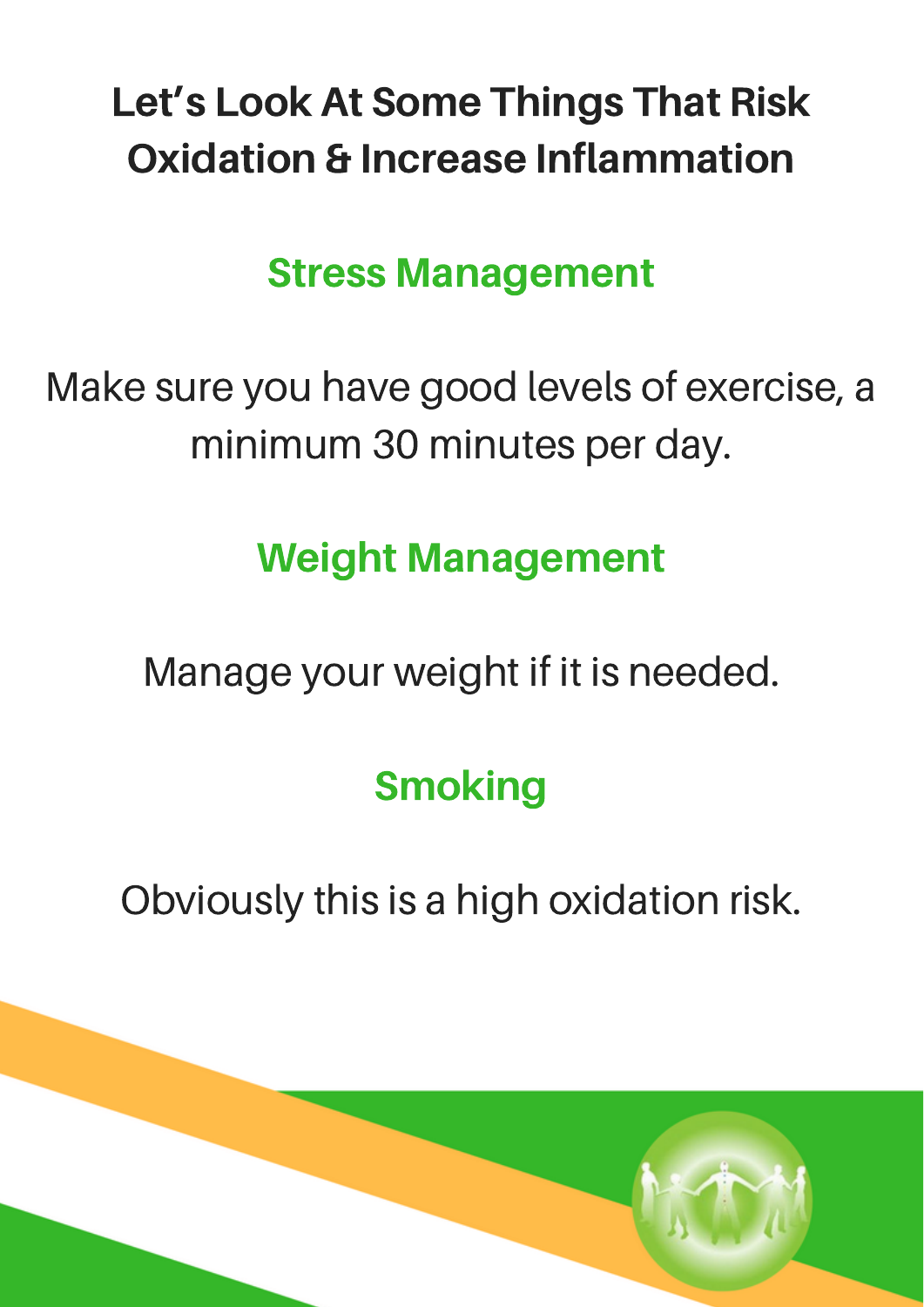#### Let's Look At Some Things That Risk Oxidation & Increase Inflammation

#### Stress Management

Make sure you have good levels of exercise, a minimum 30 minutes per day.

#### Weight Management

Manage your weight if it is needed.

#### **Smoking**

Obviously this is a high oxidation risk.

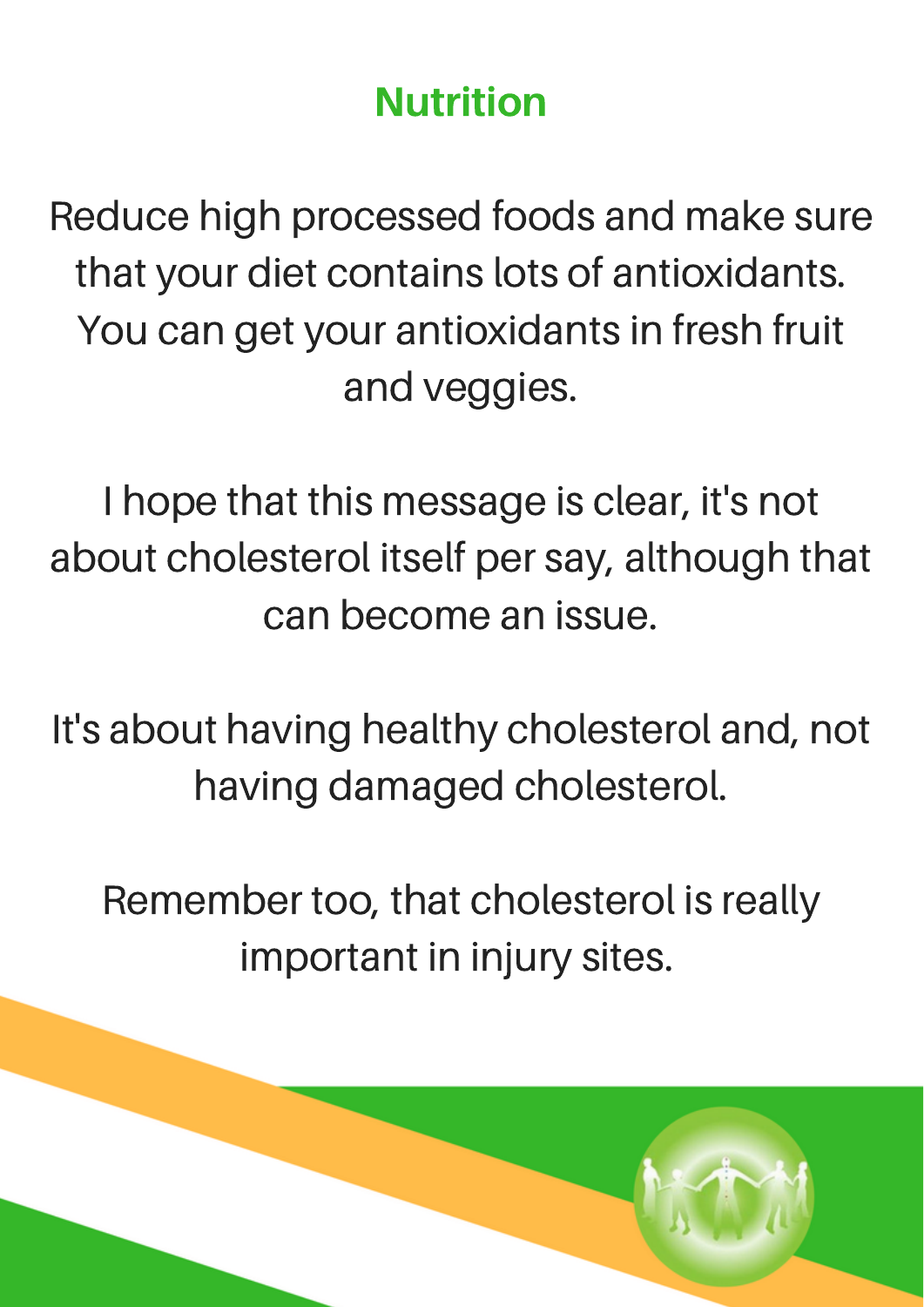#### Nutrition

Reduce high processed foods and make sure that your diet contains lots of antioxidants. You can get your antioxidants in fresh fruit and veggies.

I hope that this message is clear, it's not about cholesterol itself per say, although that can become an issue.

It's about having healthy cholesterol and, not having damaged cholesterol.

Remember too, that cholesterol is really important in injury sites.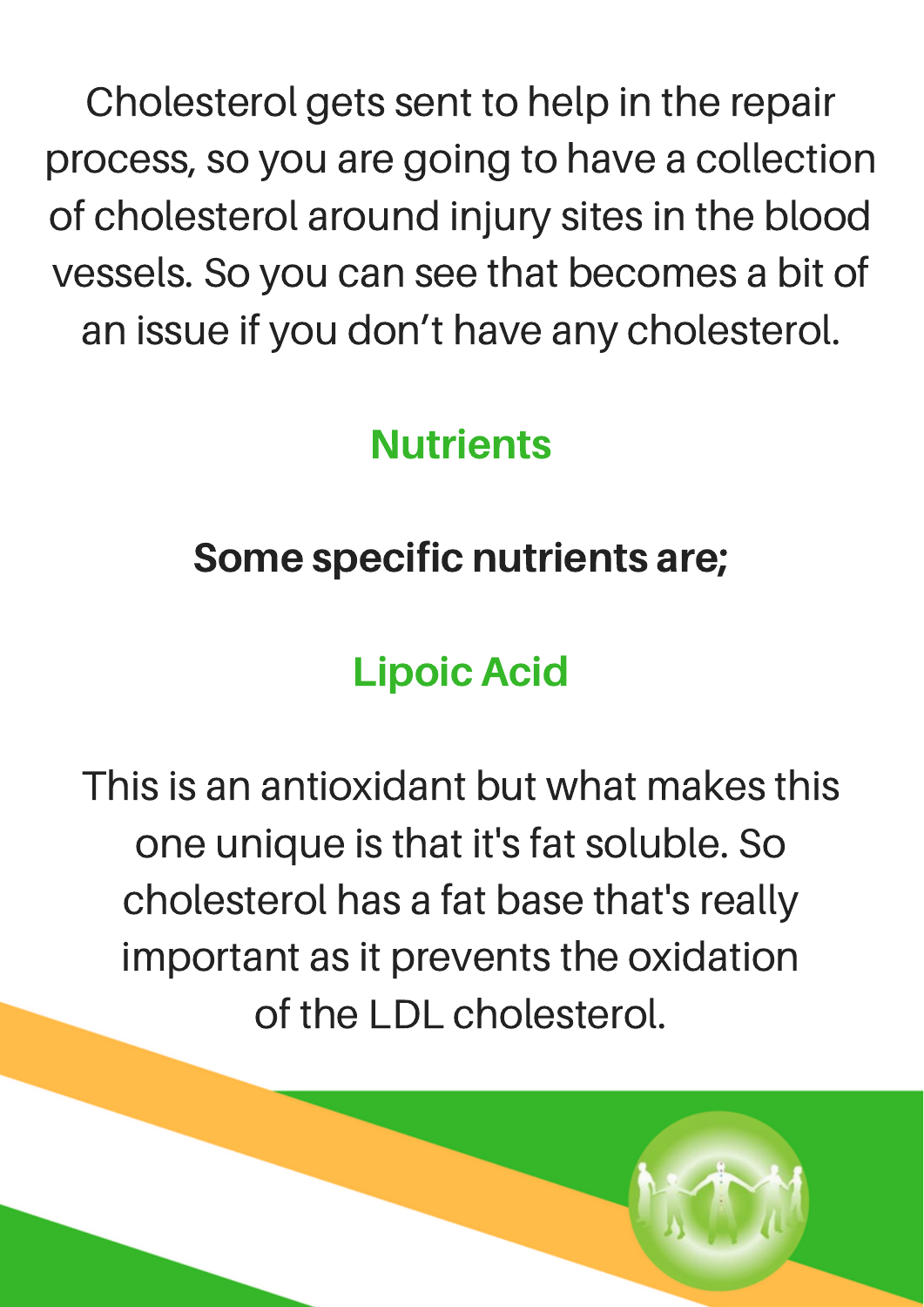Cholesterol gets sent to help in the repair process, so you are going to have a collection of cholesterol around injury sites in the blood vessels. So you can see that becomes a bit of an issue if you don't have any cholesterol.

#### **Nutrients**

#### Some specific nutrients are;

#### Lipoic Acid

This is an antioxidant but what makes this one unique is that it's fat soluble. So cholesterol has a fat base that's really important as it prevents the oxidation of the LDL cholesterol.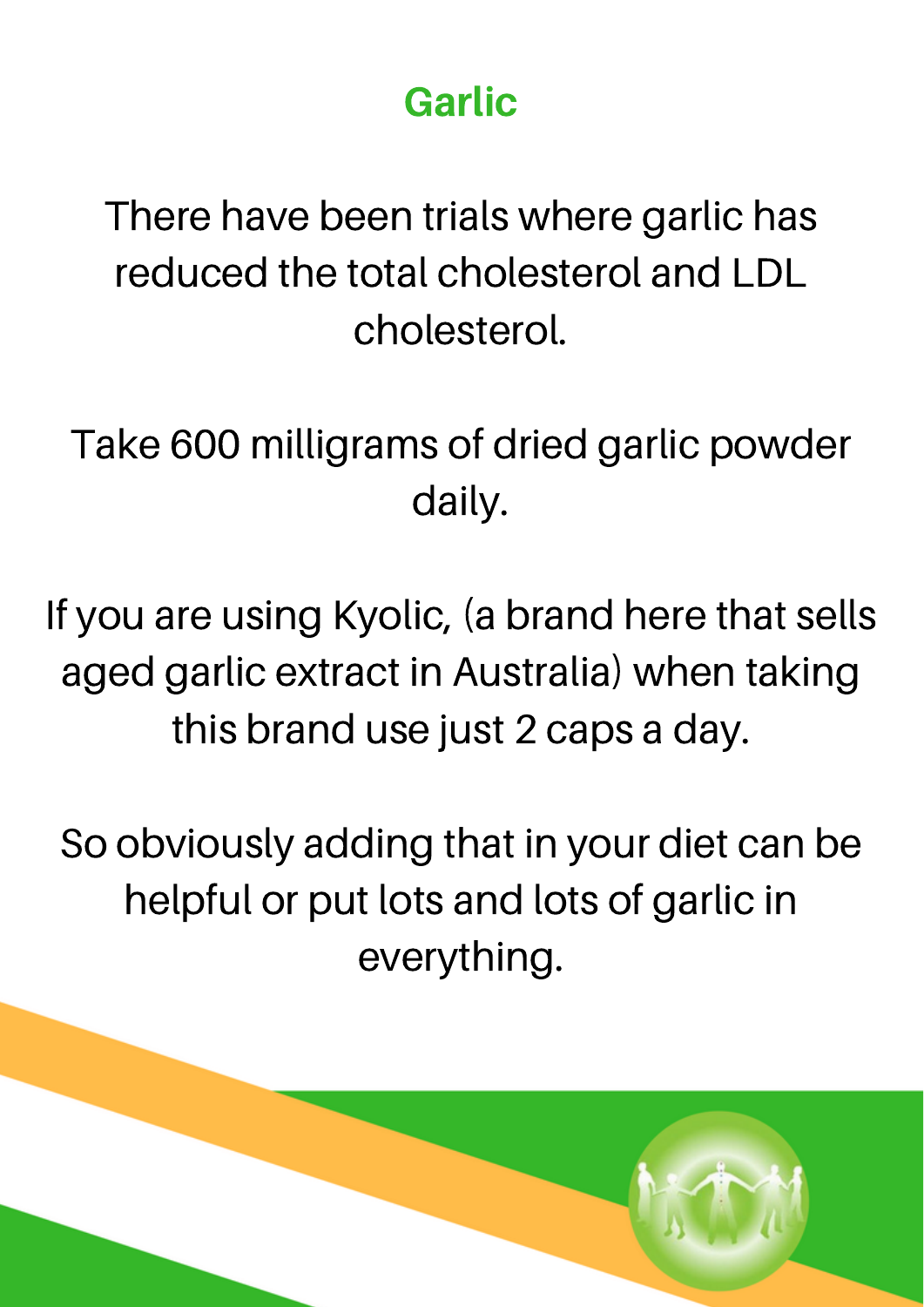#### Garlic

There have been trials where garlic has reduced the total cholesterol and LDL cholesterol.

Take 600 milligrams of dried garlic powder daily.

If you are using Kyolic, (a brand here that sells aged garlic extract in Australia) when taking this brand use just 2 caps a day.

So obviously adding that in your diet can be helpful or put lots and lots of garlic in everything.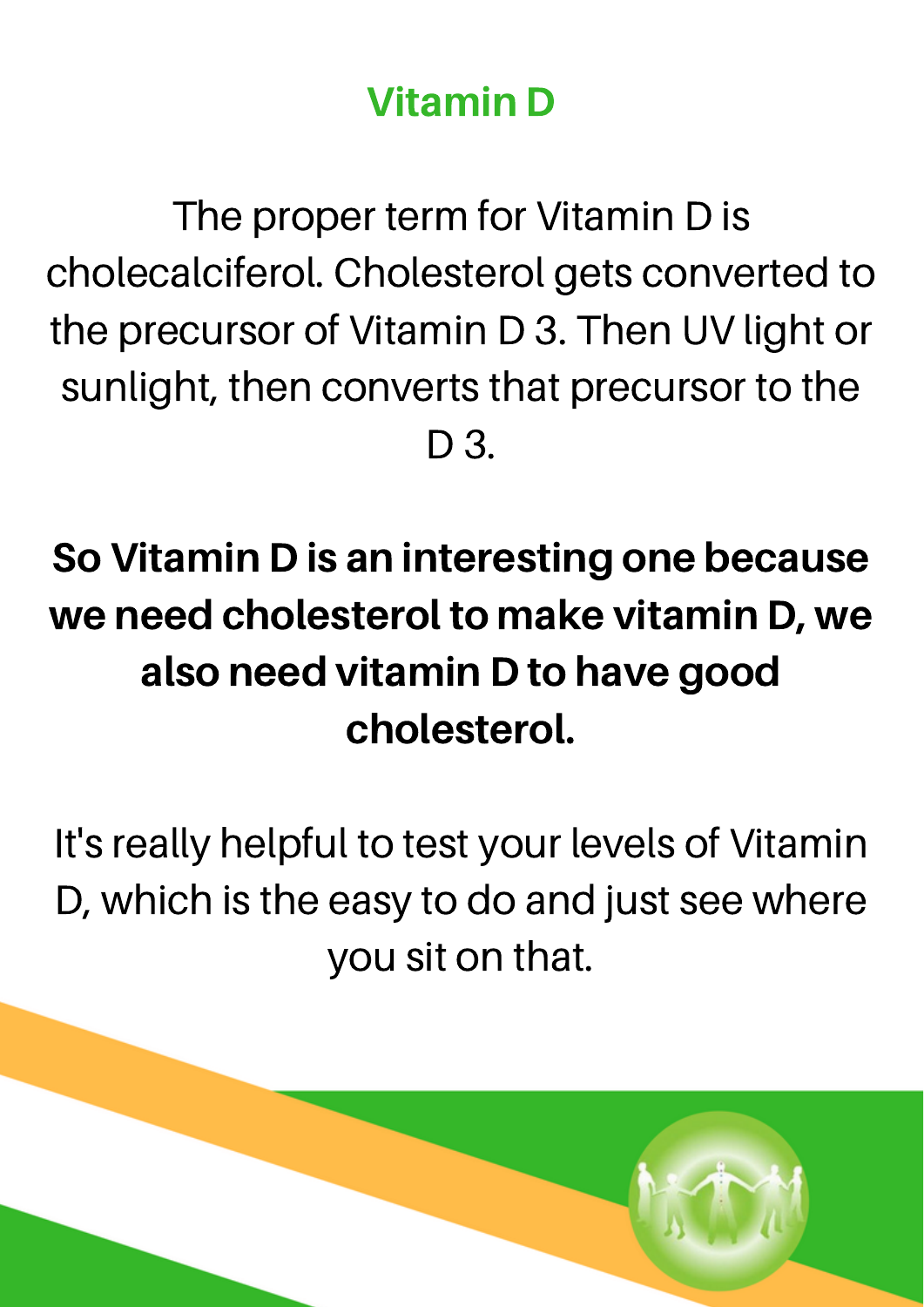#### Vitamin D

The proper term for Vitamin D is cholecalciferol. Cholesterol gets converted to the precursor of Vitamin D 3. Then UV light or sunlight, then converts that precursor to the D 3.

#### So Vitamin D is an interesting one because we need cholesterol to make vitamin D, we also need vitamin D to have good cholesterol.

It's really helpful to test your levels of Vitamin D, which is the easy to do and just see where you sit on that.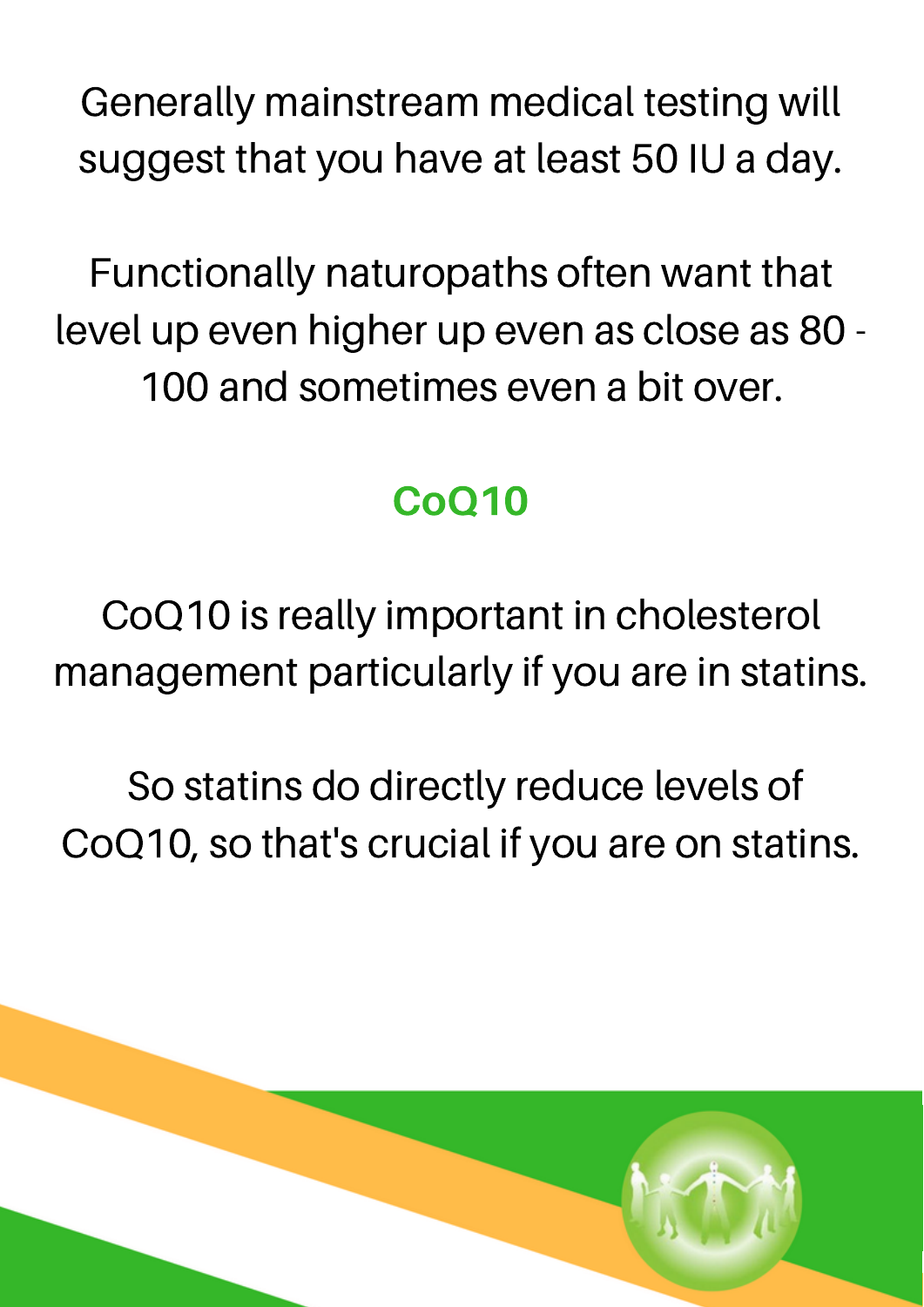Generally mainstream medical testing will suggest that you have at least 50 IU a day.

Functionally naturopaths often want that level up even higher up even as close as 80 - 100 and sometimes even a bit over.

#### CoQ10

CoQ10 is really important in cholesterol management particularly if you are in statins.

So statins do directly reduce levels of CoQ10, so that's crucial if you are on statins.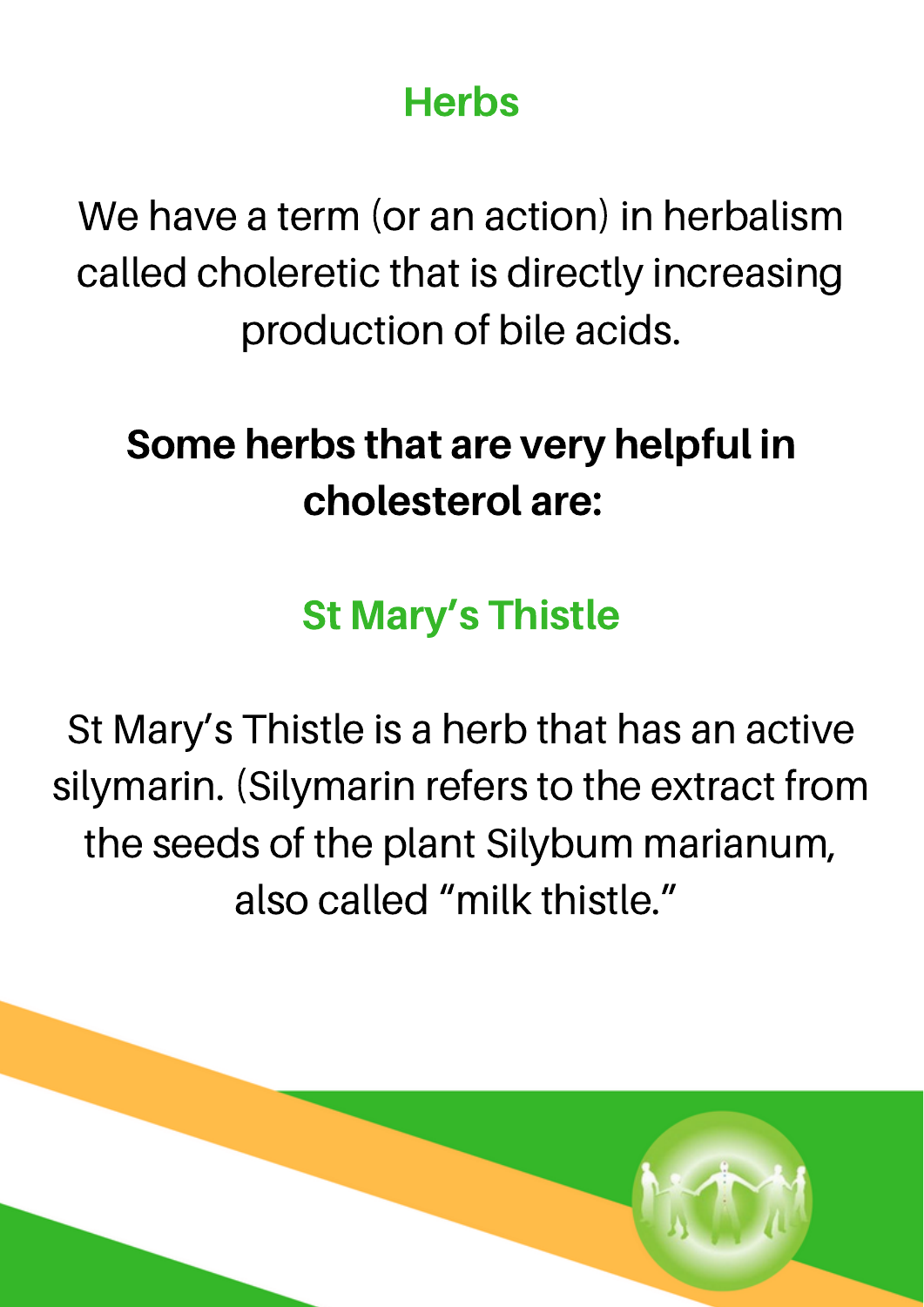#### **Herbs**

We have a term (or an action) in herbalism called choleretic that is directly increasing production of bile acids.

#### Some herbs that are very helpful in cholesterol are:

#### St Mary's Thistle

St Mary's Thistle is a herb that has an active silymarin. (Silymarin refers to the extract from the seeds of the plant Silybum marianum, also called "milk thistle."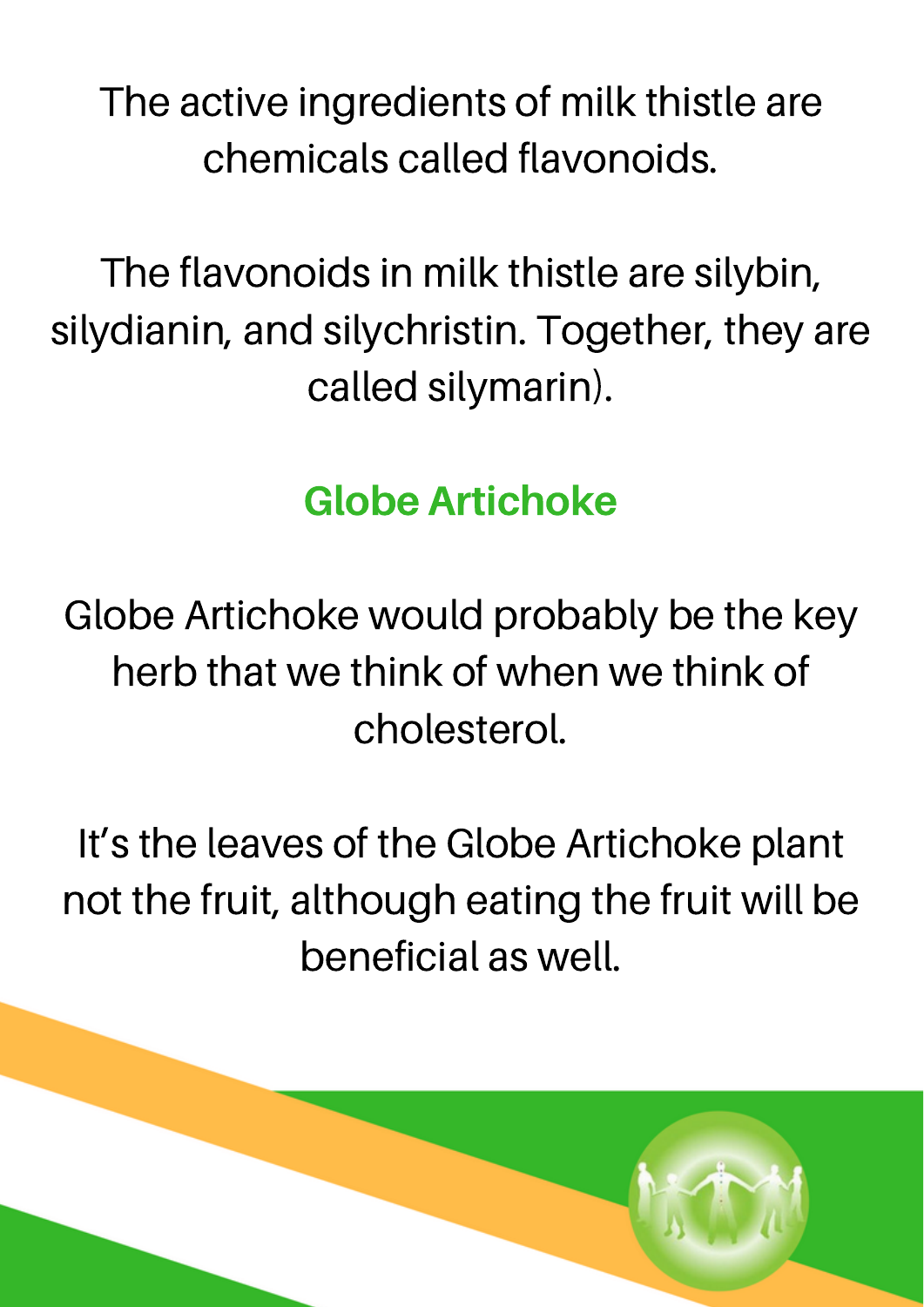The active ingredients of milk thistle are chemicals called flavonoids.

The flavonoids in milk thistle are silybin, silydianin, and silychristin. Together, they are called silymarin).

#### Globe Artichoke

Globe Artichoke would probably be the key herb that we think of when we think of cholesterol.

It's the leaves of the Globe Artichoke plant not the fruit, although eating the fruit will be beneficial as well.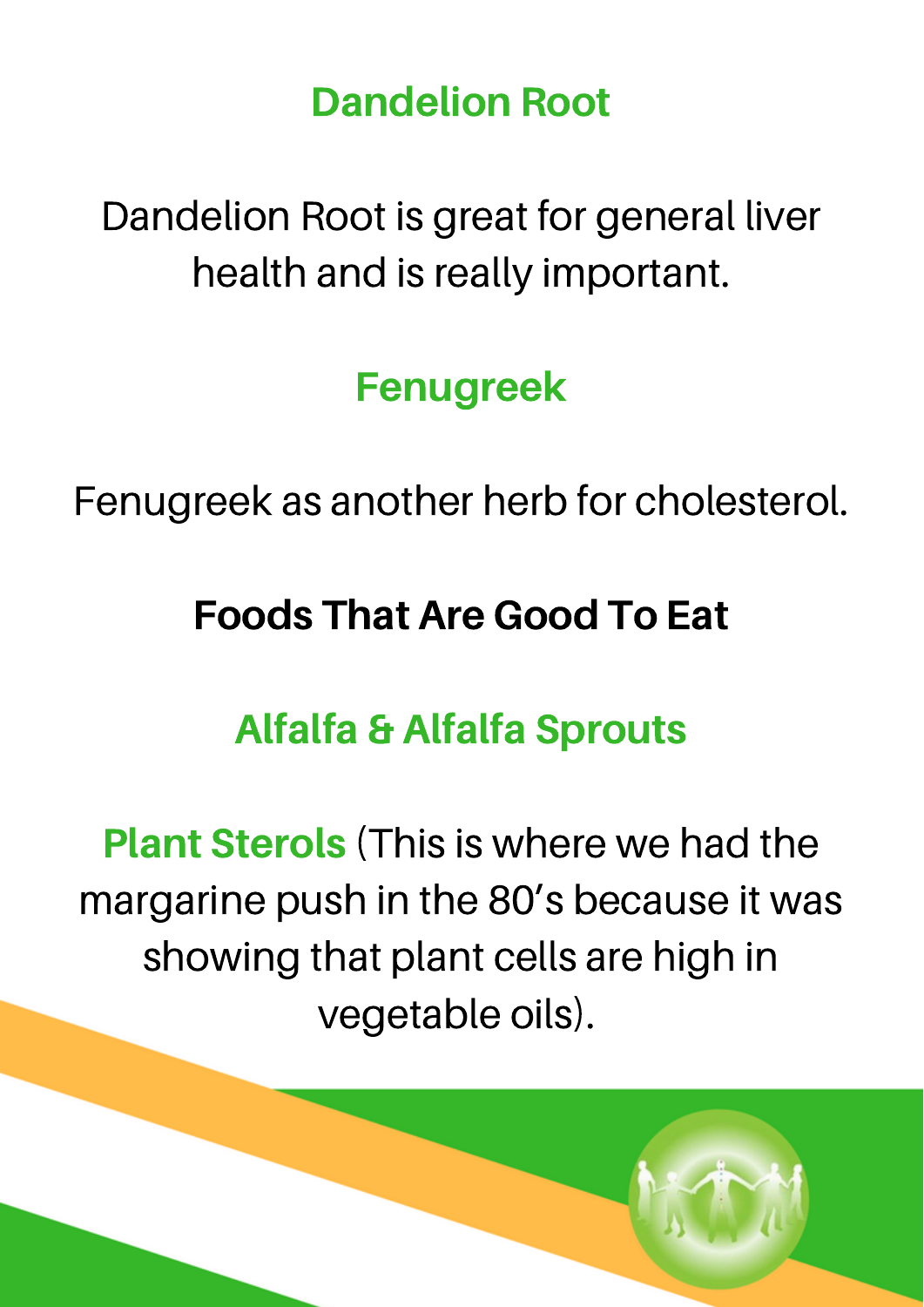Dandelion Root

Dandelion Root is great for general liver health and is really important.

Fenugreek

Fenugreek as another herb for cholesterol.

#### Foods That Are Good To Eat

#### Alfalfa & Alfalfa Sprouts

Plant Sterols (This is where we had the margarine push in the 80's because it was showing that plant cells are high in vegetable oils).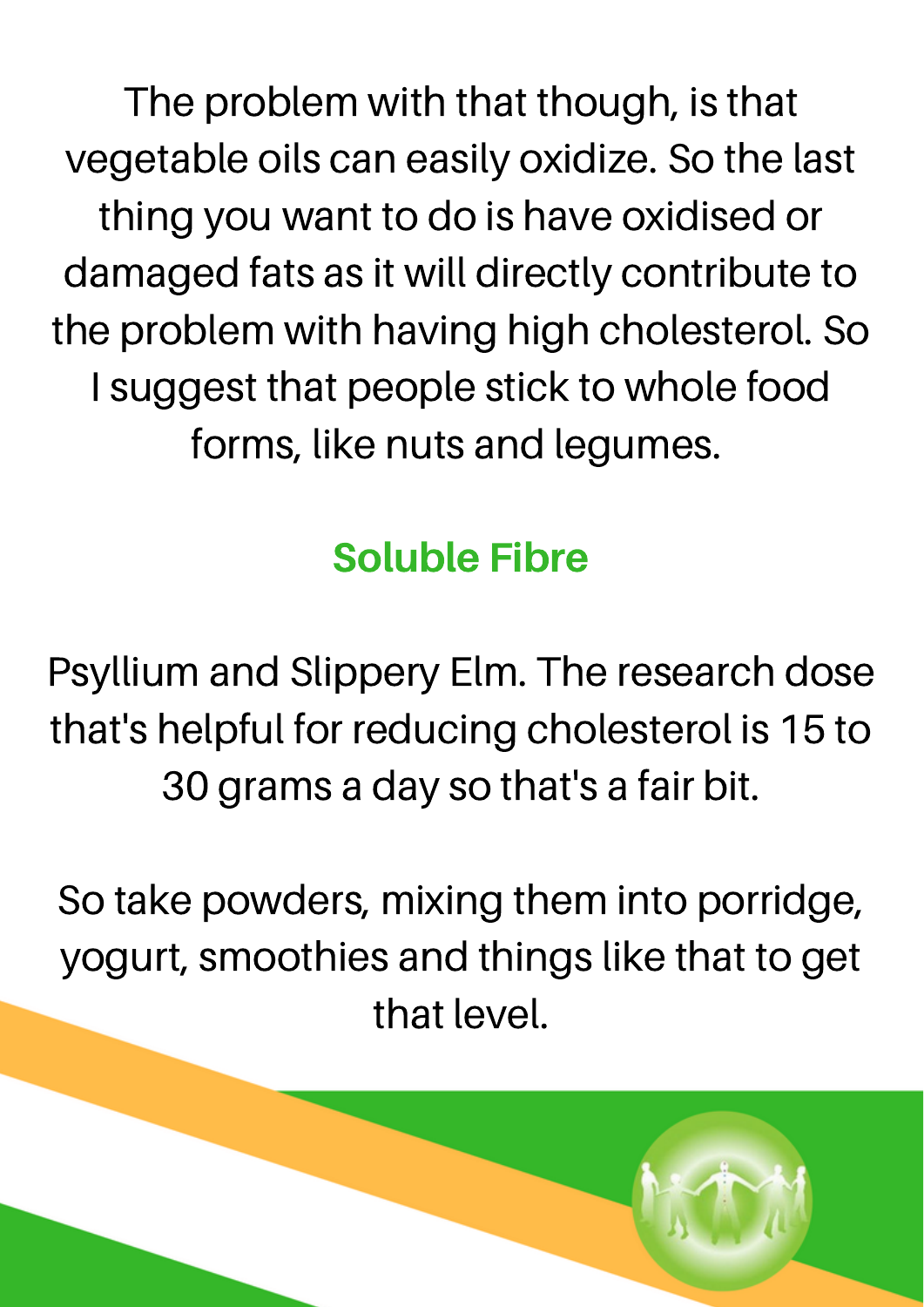The problem with that though, is that vegetable oils can easily oxidize. So the last thing you want to do is have oxidised or damaged fats as it will directly contribute to the problem with having high cholesterol. So I suggest that people stick to whole food forms, like nuts and legumes.

#### Soluble Fibre

Psyllium and Slippery Elm. The research dose that's helpful for reducing cholesterol is 15 to 30 grams a day so that's a fair bit.

So take powders, mixing them into porridge, yogurt, smoothies and things like that to get that level.